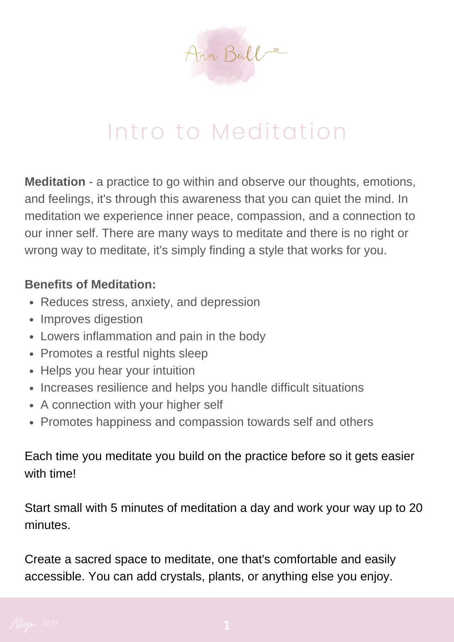

# Intro to Meditation

**Meditation** - a practice to go within and observe our thoughts, emotions, and feelings, it's through this awareness that you can quiet the mind. In meditation we experience inner peace, compassion, and a connection to our inner self. There are many ways to meditate and there is no right or wrong way to meditate, it's simply finding a style that works for you.

## **Benefits of Meditation:**

- Reduces stress, anxiety, and depression
- Improves digestion
- Lowers inflammation and pain in the body
- Promotes a restful nights sleep
- Helps you hear your intuition
- Increases resilience and helps you handle difficult situations
- A connection with your higher self
- Promotes happiness and compassion towards self and others

Each time you meditate you build on the practice before so it gets easier with time!

Start small with 5 minutes of meditation a day and work your way up to 20 minutes.

Create a sacred space to meditate, one that's comfortable and easily accessible. You can add crystals, plants, or anything else you enjoy.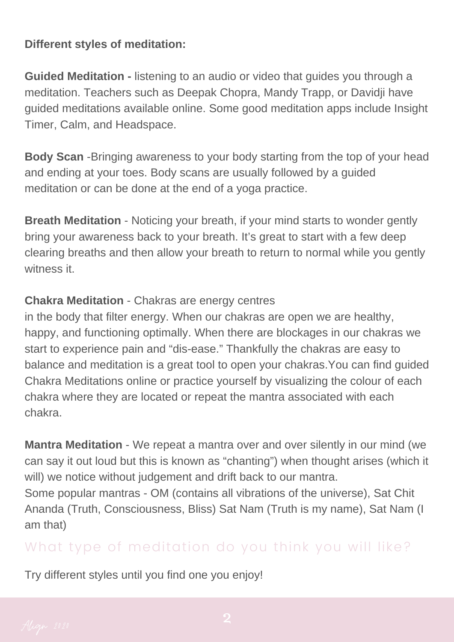### **Different styles of meditation:**

**Guided Meditation -** listening to an audio or video that guides you through a meditation. Teachers such as Deepak Chopra, Mandy Trapp, or Davidji have guided meditations available online. Some good meditation apps include Insight Timer, Calm, and Headspace.

**Body Scan** -Bringing awareness to your body starting from the top of your head and ending at your toes. Body scans are usually followed by a guided meditation or can be done at the end of a yoga practice.

**Breath Meditation** - Noticing your breath, if your mind starts to wonder gently bring your awareness back to your breath. It's great to start with a few deep clearing breaths and then allow your breath to return to normal while you gently witness it.

## **Chakra Meditation** - Chakras are energy centres

in the body that filter energy. When our chakras are open we are healthy, happy, and functioning optimally. When there are blockages in our chakras we start to experience pain and "dis-ease." Thankfully the chakras are easy to balance and meditation is a great tool to open your chakras.You can find guided Chakra Meditations online or practice yourself by visualizing the colour of each chakra where they are located or repeat the mantra associated with each chakra.

**Mantra Meditation** - We repeat a mantra over and over silently in our mind (we can say it out loud but this is known as "chanting") when thought arises (which it will) we notice without judgement and drift back to our mantra.

Some popular mantras - OM (contains all vibrations of the universe), Sat Chit Ananda (Truth, Consciousness, Bliss) Sat Nam (Truth is my name), Sat Nam (I am that)

## What type of meditation do you think you will like?

Try different styles until you find one you enjoy!

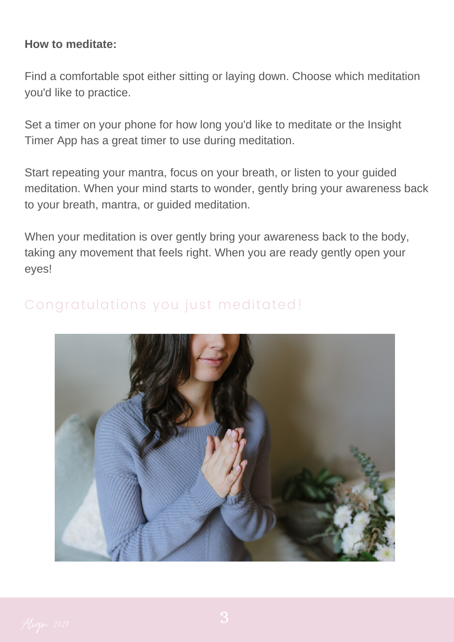#### **How to meditate:**

Find a comfortable spot either sitting or laying down. Choose which meditation you'd like to practice.

Set a timer on your phone for how long you'd like to meditate or the Insight Timer App has a great timer to use during meditation.

Start repeating your mantra, focus on your breath, or listen to your guided meditation. When your mind starts to wonder, gently bring your awareness back to your breath, mantra, or guided meditation.

When your meditation is over gently bring your awareness back to the body, taking any movement that feels right. When you are ready gently open your eyes!



## Congratulations you just meditated!